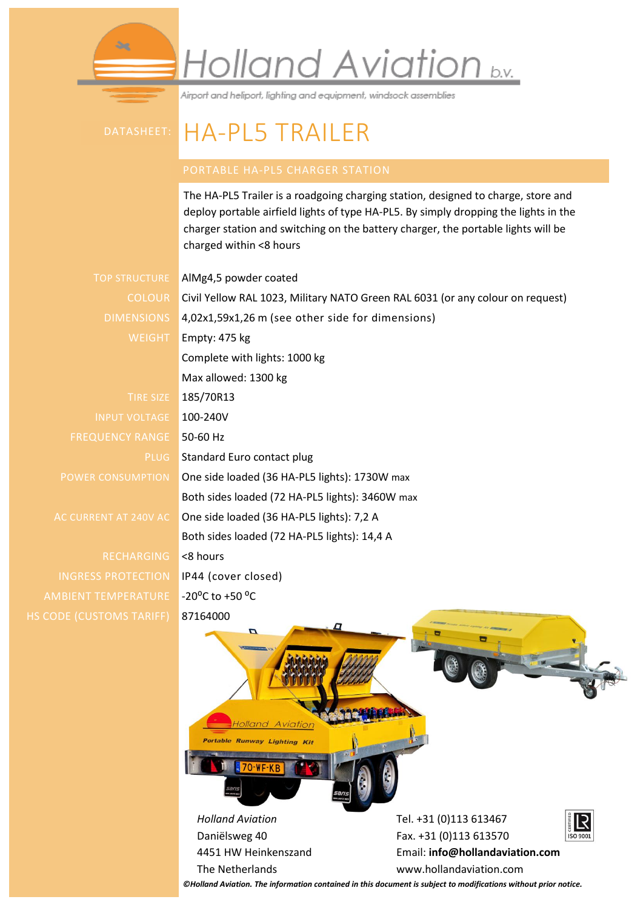## Holland Aviation b.v.

Airport and heliport, lighting and equipment, windsock assemblies

## DATASHEET: HA-PL5 TRAILER

The HA-PL5 Trailer is a roadgoing charging station, designed to charge, store and deploy portable airfield lights of type HA-PL5. By simply dropping the lights in the charger station and switching on the battery charger, the portable lights will be charged within <8 hours

TOP STRUCTURE AlMg4,5 powder coated

INPUT VOLTAGE 100-240V FREQUENCY RANGE 50-60 Hz

RECHARGING <8 hours INGRESS PROTECTION IP44 (cover closed) AMBIENT TEMPERATURE -20°C to +50 °C HS CODE (CUSTOMS TARIFF) 87164000

COLOUR Civil Yellow RAL 1023, Military NATO Green RAL 6031 (or any colour on request) DIMENSIONS 4,02x1,59x1,26 m (see other side for dimensions) WEIGHT Empty: 475 kg Complete with lights: 1000 kg Max allowed: 1300 kg TIRE SIZE 185/70R13 PLUG Standard Euro contact plug POWER CONSUMPTION One side loaded (36 HA-PL5 lights): 1730W max Both sides loaded (72 HA-PL5 lights): 3460W max AC CURRENT AT 240V AC One side loaded (36 HA-PL5 lights): 7,2 A Both sides loaded (72 HA-PL5 lights): 14,4 A



*©Holland Aviation. The information contained in this document is subject to modifications without prior notice.*